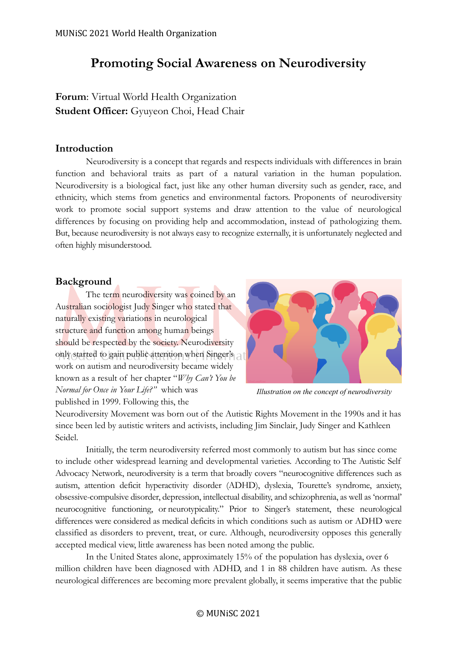# **Promoting Social Awareness on Neurodiversity**

**Forum**: Virtual World Health Organization **Student Officer:** Gyuyeon Choi, Head Chair

# **Introduction**

Neurodiversity is a concept that regards and respects individuals with differences in brain function and behavioral traits as part of a natural variation in the human population. Neurodiversity is a biological fact, just like any other human diversity such as gender, race, and ethnicity, which stems from genetics and environmental factors. Proponents of neurodiversity work to promote social support systems and draw attention to the value of neurological differences by focusing on providing help and accommodation, instead of pathologizing them. But, because neurodiversity is not always easy to recognize externally, it is unfortunately neglected and often highly misunderstood.

# **Background**

The term neurodiversity was coined by an Australian sociologist Judy Singer who stated that naturally existing variations in neurological structure and function among human beings should be respected by the society. Neurodiversity only started to gain public attention when Singer's work on autism and neurodiversity became widely known as a result of her chapter "*Why Can't You be Normal for Once in Your Life?"* which was published in 1999. Following this, the



*Illustration on the concept of neurodiversity*

Neurodiversity Movement was born out of the Autistic Rights Movement in the 1990s and it has since been led by autistic writers and activists, including Jim Sinclair, Judy Singer and Kathleen Seidel.

Initially, the term neurodiversity referred most commonly to autism but has since come to include other widespread learning and developmental varieties. According to [The Autistic Self](https://autisticadvocacy.org/wp-content/uploads/2016/06/whitepaper-Increasing-Neurodiversity-in-Disability-and-Social-Justice-Advocacy-Groups.pdf)  [Advocacy Network](https://autisticadvocacy.org/wp-content/uploads/2016/06/whitepaper-Increasing-Neurodiversity-in-Disability-and-Social-Justice-Advocacy-Groups.pdf), neurodiversity is a term that broadly covers "neurocognitive differences such as autism, attention deficit hyperactivity disorder (ADHD), dyslexia, Tourette's syndrome, anxiety, obsessive-compulsive disorder, depression, intellectual disability, and schizophrenia, as well as 'normal' neurocognitive functioning, or neurotypicality." Prior to Singer's statement, these neurological differences were considered as medical deficits in which conditions such as autism or ADHD were classified as disorders to prevent, treat, or cure. Although, neurodiversity opposes this generally accepted medical view, little awareness has been noted among the public.

In the United States alone, approximately 15% of the population has dyslexia, over 6 million children have been diagnosed with ADHD, and 1 in 88 children have autism. As these neurological differences are becoming more prevalent globally, it seems imperative that the public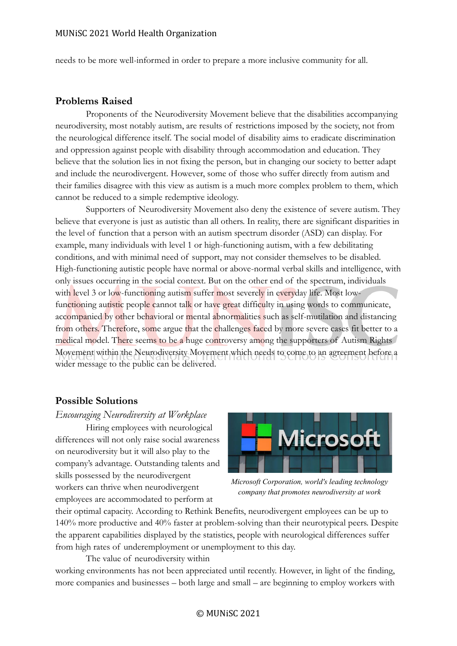needs to be more well-informed in order to prepare a more inclusive community for all.

#### **Problems Raised**

Proponents of the Neurodiversity Movement believe that the disabilities accompanying neurodiversity, most notably autism, are results of restrictions imposed by the society, not from the neurological difference itself. The social model of disability aims to eradicate discrimination and oppression against people with disability through accommodation and education. They believe that the solution lies in not fixing the person, but in changing our society to better adapt and include the neurodivergent. However, some of those who suffer directly from autism and their families disagree with this view as autism is a much more complex problem to them, which cannot be reduced to a simple redemptive ideology.

Supporters of Neurodiversity Movement also deny the existence of severe autism. They believe that everyone is just as autistic than all others. In reality, there are significant disparities in the level of function that a person with an autism spectrum disorder (ASD) can display. For example, many individuals with level 1 or high-functioning autism, with a few debilitating conditions, and with minimal need of support, may not consider themselves to be disabled. High-functioning autistic people have normal or above-normal verbal skills and intelligence, with only issues occurring in the social context. But on the other end of the spectrum, individuals with level 3 or low-functioning autism suffer most severely in everyday life. Most lowfunctioning autistic people cannot talk or have great difficulty in using words to communicate, accompanied by other behavioral or mental abnormalities such as self-mutilation and distancing from others. Therefore, some argue that the challenges faced by more severe cases fit better to a medical model. There seems to be a huge controversy among the supporters of Autism Rights Movement within the Neurodiversity Movement which needs to come to an agreement before a wider message to the public can be delivered.

# **Possible Solutions**

#### *Encouraging Neurodiversity at Workplace*

Hiring employees with neurological differences will not only raise social awareness on neurodiversity but it will also play to the company's advantage. Outstanding talents and skills possessed by the neurodivergent workers can thrive when neurodivergent employees are accommodated to perform at



*Microsoft Corporation, world's leading technology company that promotes neurodiversity at work*

their optimal capacity. According to Rethink Benefits, neurodivergent employees can be up to 140% more productive and 40% faster at problem-solving than their neurotypical peers. Despite the apparent capabilities displayed by the statistics, people with neurological differences suffer from high rates of underemployment or unemployment to this day.

The value of neurodiversity within working environments has not been appreciated until recently. However, in light of the finding, more companies and businesses – both large and small – are beginning to employ workers with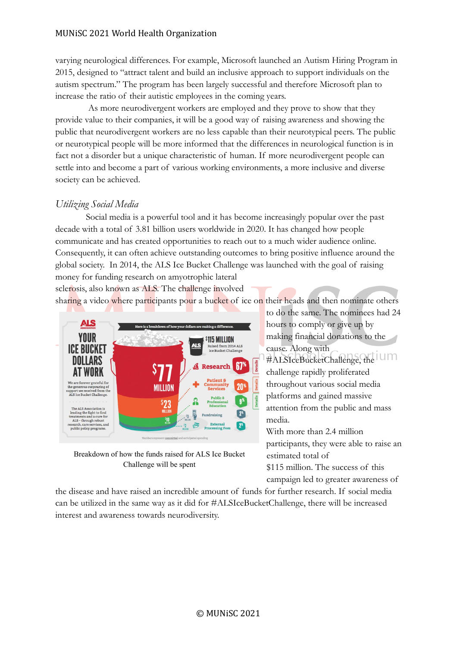### MUNiSC 2021 World Health Organization

varying neurological differences. For example, Microsoft launched an Autism Hiring Program in 2015, designed to "attract talent and build an inclusive approach to support individuals on the autism spectrum." The program has been largely successful and therefore Microsoft plan to increase the ratio of their autistic employees in the coming years.

As more neurodivergent workers are employed and they prove to show that they provide value to their companies, it will be a good way of raising awareness and showing the public that neurodivergent workers are no less capable than their neurotypical peers. The public or neurotypical people will be more informed that the differences in neurological function is in fact not a disorder but a unique characteristic of human. If more neurodivergent people can settle into and become a part of various working environments, a more inclusive and diverse society can be achieved.

# *Utilizing Social Media*

Social media is a powerful tool and it has become increasingly popular over the past decade with a total of 3.81 billion users worldwide in 2020. It has changed how people communicate and has created opportunities to reach out to a much wider audience online. Consequently, it can often achieve outstanding outcomes to bring positive influence around the global society. In 2014, the ALS Ice Bucket Challenge was launched with the goal of raising money for funding research on amyotrophic lateral

sclerosis, also known as ALS. The challenge involved sharing a video where participants pour a bucket of ice on their heads and then nominate others



Breakdown of how the funds raised for ALS Ice Bucket Challenge will be spent

the disease and have raised an incredible amount of funds for further research. If social media can be utilized in the same way as it did for #ALSIceBucketChallenge, there will be increased interest and awareness towards neurodiversity.

to do the same. The nominees had 24 hours to comply or give up by making financial donations to the cause. Along with #ALSIceBucketChallenge, the challenge rapidly proliferated throughout various social media platforms and gained massive attention from the public and mass media. With more than 2.4 million participants, they were able to raise an

estimated total of \$115 million. The success of this campaign led to greater awareness of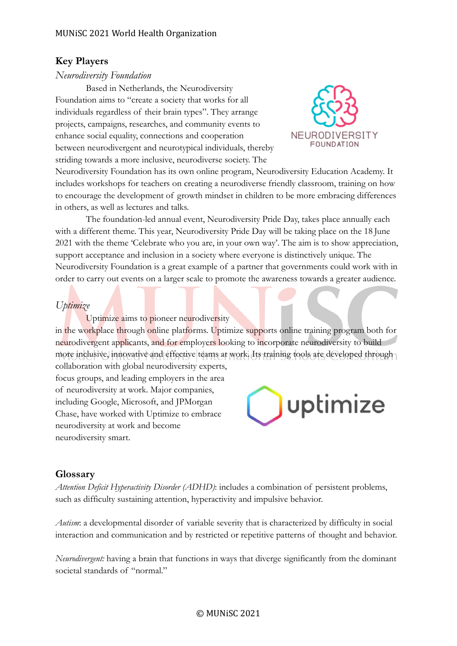# **Key Players**

## *Neurodiversity Foundation*

Based in Netherlands, the Neurodiversity Foundation aims to "create a society that works for all individuals regardless of their brain types". They arrange projects, campaigns, researches, and community events to enhance social equality, connections and cooperation between neurodivergent and neurotypical individuals, thereby striding towards a more inclusive, neurodiverse society. The



Neurodiversity Foundation has its own online program, Neurodiversity Education Academy. It includes workshops for teachers on creating a neurodiverse friendly classroom, training on how to encourage the development of growth mindset in children to be more embracing differences in others, as well as lectures and talks.

The foundation-led annual event, Neurodiversity Pride Day, takes place annually each with a different theme. This year, Neurodiversity Pride Day will be taking place on the 18 June 2021 with the theme 'Celebrate who you are, in your own way'. The aim is to show appreciation, support acceptance and inclusion in a society where everyone is distinctively unique. The Neurodiversity Foundation is a great example of a partner that governments could work with in order to carry out events on a larger scale to promote the awareness towards a greater audience.

# *Uptimize*

Uptimize aims to pioneer neurodiversity in the workplace through online platforms. Uptimize supports online training program both for neurodivergent applicants, and for employers looking to incorporate neurodiversity to build more inclusive, innovative and effective teams at work. Its training tools are developed through collaboration with global neurodiversity experts,

focus groups, and leading employers in the area of neurodiversity at work. Major companies, including Google, Microsoft, and JPMorgan Chase, have worked with Uptimize to embrace neurodiversity at work and become neurodiversity smart.



# **Glossary**

*Attention Deficit Hyperactivity Disorder (ADHD)*: includes a combination of persistent problems, such as difficulty sustaining attention, hyperactivity and impulsive behavior.

*Autism*: a developmental disorder of variable severity that is characterized by difficulty in social interaction and communication and by restricted or repetitive patterns of thought and behavior.

*Neurodivergent:* having a brain that functions in ways that diverge significantly from the dominant societal standards of "normal."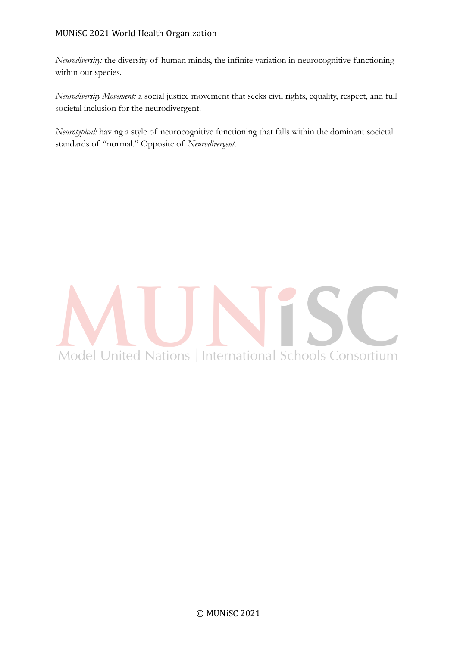## MUNiSC 2021 World Health Organization

*Neurodiversity:* the diversity of human minds, the infinite variation in neurocognitive functioning within our species.

*Neurodiversity Movement:* a social justice movement that seeks civil rights, equality, respect, and full societal inclusion for the neurodivergent.

*Neurotypical:* having a style of neurocognitive functioning that falls within the dominant societal standards of "normal." Opposite of *Neurodivergent*.

# Model United Nations | International Schools Consortium